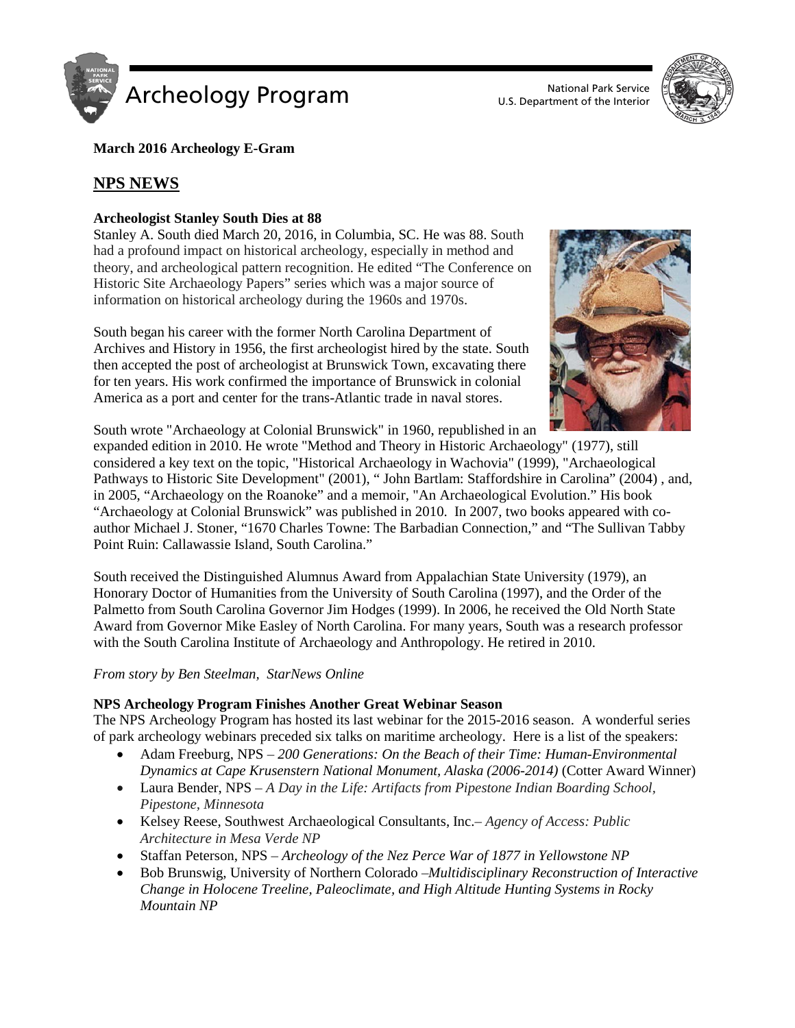

U.S. Department of the Interior



**March 2016 Archeology E-Gram**

# **NPS NEWS**

# **Archeologist Stanley South Dies at 88**

Stanley A. South died March 20, 2016, in Columbia, SC. He was 88. South had a profound impact on historical archeology, especially in method and theory, and archeological pattern recognition. He edited "The Conference on Historic Site Archaeology Papers" series which was a major source of information on historical archeology during the 1960s and 1970s.

South began his career with the former North Carolina Department of Archives and History in 1956, the first archeologist hired by the state. South then accepted the post of archeologist at Brunswick Town, excavating there for ten years. His work confirmed the importance of Brunswick in colonial America as a port and center for the trans-Atlantic trade in naval stores.



South wrote "Archaeology at Colonial Brunswick" in 1960, republished in an

expanded edition in 2010. He wrote "Method and Theory in Historic Archaeology" (1977), still considered a key text on the topic, "Historical Archaeology in Wachovia" (1999), "Archaeological Pathways to Historic Site Development" (2001), " John Bartlam: Staffordshire in Carolina" (2004) , and, in 2005, "Archaeology on the Roanoke" and a memoir, "An Archaeological Evolution." His book "Archaeology at Colonial Brunswick" was published in 2010. In 2007, two books appeared with coauthor Michael J. Stoner, "1670 Charles Towne: The Barbadian Connection," and "The Sullivan Tabby Point Ruin: Callawassie Island, South Carolina."

South received the Distinguished Alumnus Award from Appalachian State University (1979), an Honorary Doctor of Humanities from the University of South Carolina (1997), and the Order of the Palmetto from South Carolina Governor Jim Hodges (1999). In 2006, he received the Old North State Award from Governor Mike Easley of North Carolina. For many years, South was a research professor with the South Carolina Institute of Archaeology and Anthropology. He retired in 2010.

## *From story by Ben Steelman, StarNews Online*

## **NPS Archeology Program Finishes Another Great Webinar Season**

The NPS Archeology Program has hosted its last webinar for the 2015-2016 season. A wonderful series of park archeology webinars preceded six talks on maritime archeology. Here is a list of the speakers:

- Adam Freeburg, NPS *200 Generations: On the Beach of their Time: Human-Environmental Dynamics at Cape Krusenstern National Monument, Alaska (2006-2014)* (Cotter Award Winner)
- Laura Bender, NPS *A Day in the Life: Artifacts from Pipestone Indian Boarding School, Pipestone, Minnesota*
- Kelsey Reese, Southwest Archaeological Consultants, Inc.– *Agency of Access: Public Architecture in Mesa Verde NP*
- Staffan Peterson, NPS *Archeology of the Nez Perce War of 1877 in Yellowstone NP*
- Bob Brunswig, University of Northern Colorado –*Multidisciplinary Reconstruction of Interactive Change in Holocene Treeline, Paleoclimate, and High Altitude Hunting Systems in Rocky Mountain NP*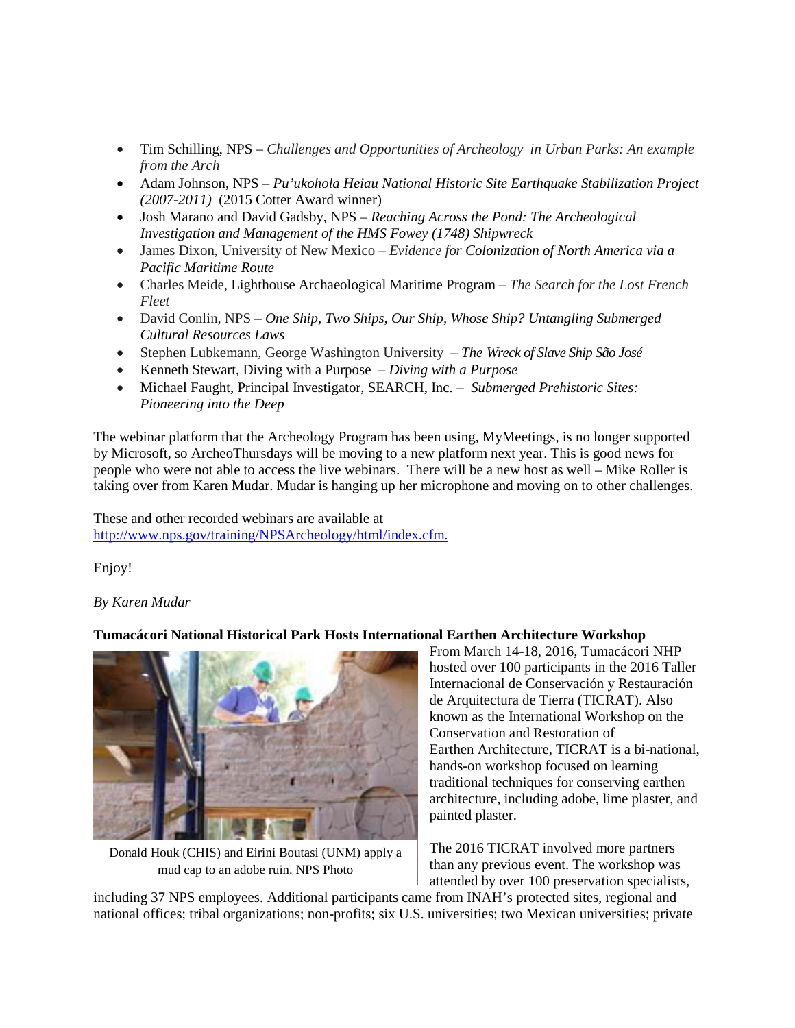- Tim Schilling, NPS *Challenges and Opportunities of Archeology in Urban Parks: An example from the Arch*
- Adam Johnson, NPS *Pu'ukohola Heiau National Historic Site Earthquake Stabilization Project (2007-2011)* (2015 Cotter Award winner)
- Josh Marano and David Gadsby, NPS *Reaching Across the Pond: The Archeological Investigation and Management of the HMS Fowey (1748) Shipwreck*
- James Dixon, University of New Mexico *Evidence for Colonization of North America via a Pacific Maritime Route*
- Charles Meide, Lighthouse Archaeological Maritime Program *The Search for the Lost French Fleet*
- David Conlin, NPS *One Ship, Two Ships, Our Ship, Whose Ship? Untangling Submerged Cultural Resources Laws*
- Stephen Lubkemann, George Washington University *The Wreck of Slave Ship São José*
- Kenneth Stewart, Diving with a Purpose *Diving with a Purpose*
- Michael Faught, Principal Investigator, SEARCH, Inc. *Submerged Prehistoric Sites: Pioneering into the Deep*

The webinar platform that the Archeology Program has been using, MyMeetings, is no longer supported by Microsoft, so ArcheoThursdays will be moving to a new platform next year. This is good news for people who were not able to access the live webinars. There will be a new host as well – Mike Roller is taking over from Karen Mudar. Mudar is hanging up her microphone and moving on to other challenges.

These and other recorded webinars are available at [http://www.nps.gov/training/NPSArcheology/html/index.cfm.](http://www.nps.gov/training/NPSArcheology/html/index.cfm)

Enjoy!

*By Karen Mudar* 

# **Tumacácori National Historical Park Hosts International Earthen Architecture Workshop**



Donald Houk (CHIS) and Eirini Boutasi (UNM) apply a mud cap to an adobe ruin. NPS Photo

From March 14-18, 2016, Tumacácori NHP hosted over 100 participants in the 2016 Taller Internacional de Conservación y Restauración de Arquitectura de Tierra (TICRAT). Also known as the International Workshop on the Conservation and Restoration of Earthen Architecture, TICRAT is a bi-national, hands-on workshop focused on learning traditional techniques for conserving earthen architecture, including adobe, lime plaster, and painted plaster.

The 2016 TICRAT involved more partners than any previous event. The workshop was attended by over 100 preservation specialists,

including 37 NPS employees. Additional participants came from INAH's protected sites, regional and national offices; tribal organizations; non-profits; six U.S. universities; two Mexican universities; private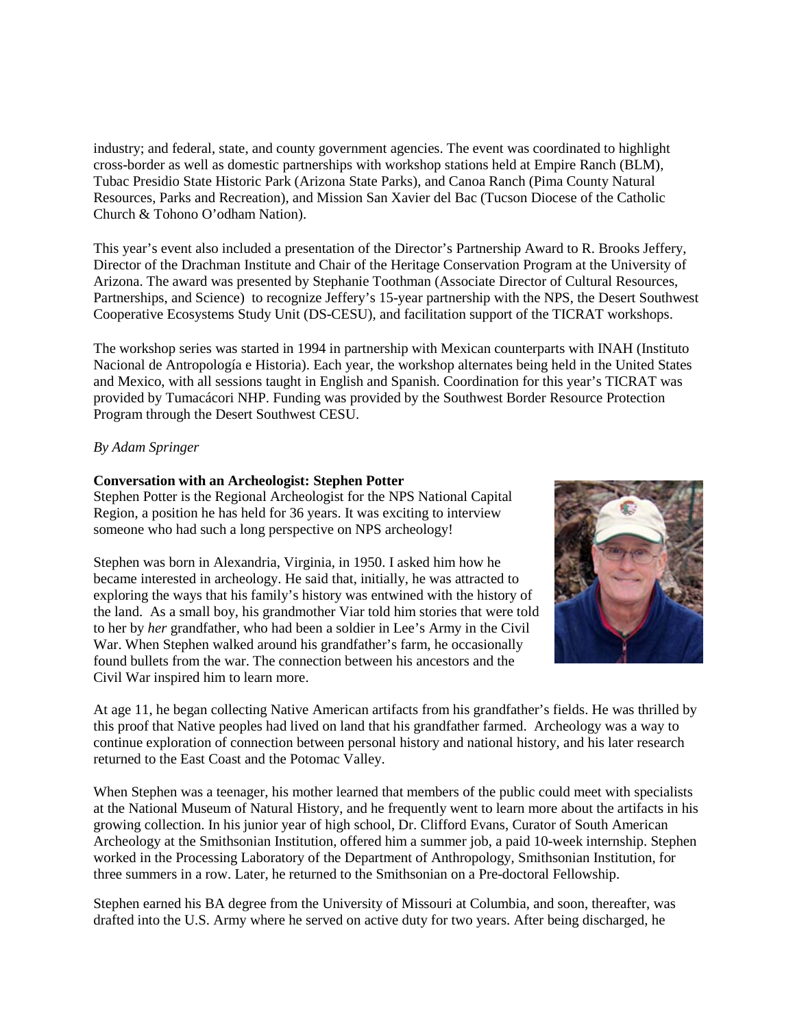industry; and federal, state, and county government agencies. The event was coordinated to highlight cross-border as well as domestic partnerships with workshop stations held at Empire Ranch (BLM), Tubac Presidio State Historic Park (Arizona State Parks), and Canoa Ranch (Pima County Natural Resources, Parks and Recreation), and Mission San Xavier del Bac (Tucson Diocese of the Catholic Church & Tohono O'odham Nation).

This year's event also included a presentation of the Director's Partnership Award to R. Brooks Jeffery, Director of the Drachman Institute and Chair of the Heritage Conservation Program at the University of Arizona. The award was presented by Stephanie Toothman (Associate Director of Cultural Resources, Partnerships, and Science) to recognize Jeffery's 15-year partnership with the NPS, the Desert Southwest Cooperative Ecosystems Study Unit (DS-CESU), and facilitation support of the TICRAT workshops.

The workshop series was started in 1994 in partnership with Mexican counterparts with INAH (Instituto Nacional de Antropología e Historia). Each year, the workshop alternates being held in the United States and Mexico, with all sessions taught in English and Spanish. Coordination for this year's TICRAT was provided by Tumacácori NHP. Funding was provided by the Southwest Border Resource Protection Program through the Desert Southwest CESU.

## *By Adam Springer*

### **Conversation with an Archeologist: Stephen Potter**

Stephen Potter is the Regional Archeologist for the NPS National Capital Region, a position he has held for 36 years. It was exciting to interview someone who had such a long perspective on NPS archeology!

Stephen was born in Alexandria, Virginia, in 1950. I asked him how he became interested in archeology. He said that, initially, he was attracted to exploring the ways that his family's history was entwined with the history of the land. As a small boy, his grandmother Viar told him stories that were told to her by *her* grandfather, who had been a soldier in Lee's Army in the Civil War. When Stephen walked around his grandfather's farm, he occasionally found bullets from the war. The connection between his ancestors and the Civil War inspired him to learn more.



At age 11, he began collecting Native American artifacts from his grandfather's fields. He was thrilled by this proof that Native peoples had lived on land that his grandfather farmed. Archeology was a way to continue exploration of connection between personal history and national history, and his later research returned to the East Coast and the Potomac Valley.

When Stephen was a teenager, his mother learned that members of the public could meet with specialists at the National Museum of Natural History, and he frequently went to learn more about the artifacts in his growing collection. In his junior year of high school, Dr. Clifford Evans, Curator of South American Archeology at the Smithsonian Institution, offered him a summer job, a paid 10-week internship. Stephen worked in the Processing Laboratory of the Department of Anthropology, Smithsonian Institution, for three summers in a row. Later, he returned to the Smithsonian on a Pre-doctoral Fellowship.

Stephen earned his BA degree from the University of Missouri at Columbia, and soon, thereafter, was drafted into the U.S. Army where he served on active duty for two years. After being discharged, he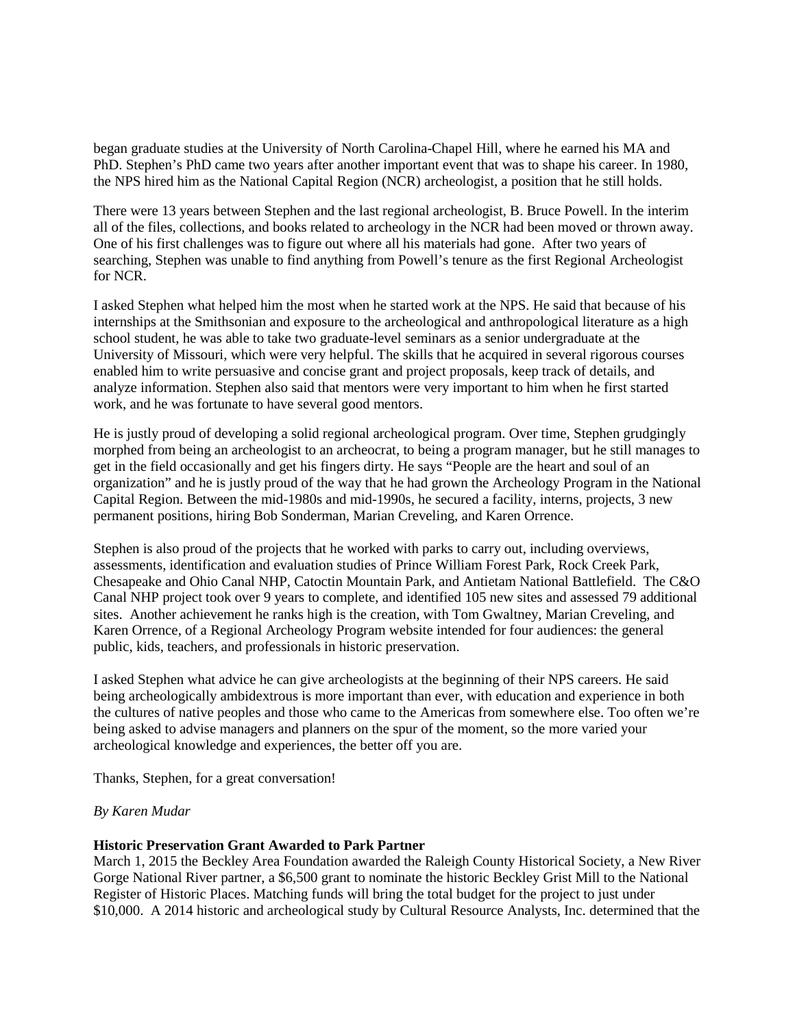began graduate studies at the University of North Carolina-Chapel Hill, where he earned his MA and PhD. Stephen's PhD came two years after another important event that was to shape his career. In 1980, the NPS hired him as the National Capital Region (NCR) archeologist, a position that he still holds.

There were 13 years between Stephen and the last regional archeologist, B. Bruce Powell. In the interim all of the files, collections, and books related to archeology in the NCR had been moved or thrown away. One of his first challenges was to figure out where all his materials had gone. After two years of searching, Stephen was unable to find anything from Powell's tenure as the first Regional Archeologist for NCR.

I asked Stephen what helped him the most when he started work at the NPS. He said that because of his internships at the Smithsonian and exposure to the archeological and anthropological literature as a high school student, he was able to take two graduate-level seminars as a senior undergraduate at the University of Missouri, which were very helpful. The skills that he acquired in several rigorous courses enabled him to write persuasive and concise grant and project proposals, keep track of details, and analyze information. Stephen also said that mentors were very important to him when he first started work, and he was fortunate to have several good mentors.

He is justly proud of developing a solid regional archeological program. Over time, Stephen grudgingly morphed from being an archeologist to an archeocrat, to being a program manager, but he still manages to get in the field occasionally and get his fingers dirty. He says "People are the heart and soul of an organization" and he is justly proud of the way that he had grown the Archeology Program in the National Capital Region. Between the mid-1980s and mid-1990s, he secured a facility, interns, projects, 3 new permanent positions, hiring Bob Sonderman, Marian Creveling, and Karen Orrence.

Stephen is also proud of the projects that he worked with parks to carry out, including overviews, assessments, identification and evaluation studies of Prince William Forest Park, Rock Creek Park, Chesapeake and Ohio Canal NHP, Catoctin Mountain Park, and Antietam National Battlefield. The C&O Canal NHP project took over 9 years to complete, and identified 105 new sites and assessed 79 additional sites. Another achievement he ranks high is the creation, with Tom Gwaltney, Marian Creveling, and Karen Orrence, of a Regional Archeology Program website intended for four audiences: the general public, kids, teachers, and professionals in historic preservation.

I asked Stephen what advice he can give archeologists at the beginning of their NPS careers. He said being archeologically ambidextrous is more important than ever, with education and experience in both the cultures of native peoples and those who came to the Americas from somewhere else. Too often we're being asked to advise managers and planners on the spur of the moment, so the more varied your archeological knowledge and experiences, the better off you are.

Thanks, Stephen, for a great conversation!

## *By Karen Mudar*

## **Historic Preservation Grant Awarded to Park Partner**

March 1, 2015 the Beckley Area Foundation awarded the Raleigh County Historical Society, a New River Gorge National River partner, a \$6,500 grant to nominate the historic Beckley Grist Mill to the National Register of Historic Places. Matching funds will bring the total budget for the project to just under \$10,000. A 2014 historic and archeological study by Cultural Resource Analysts, Inc. determined that the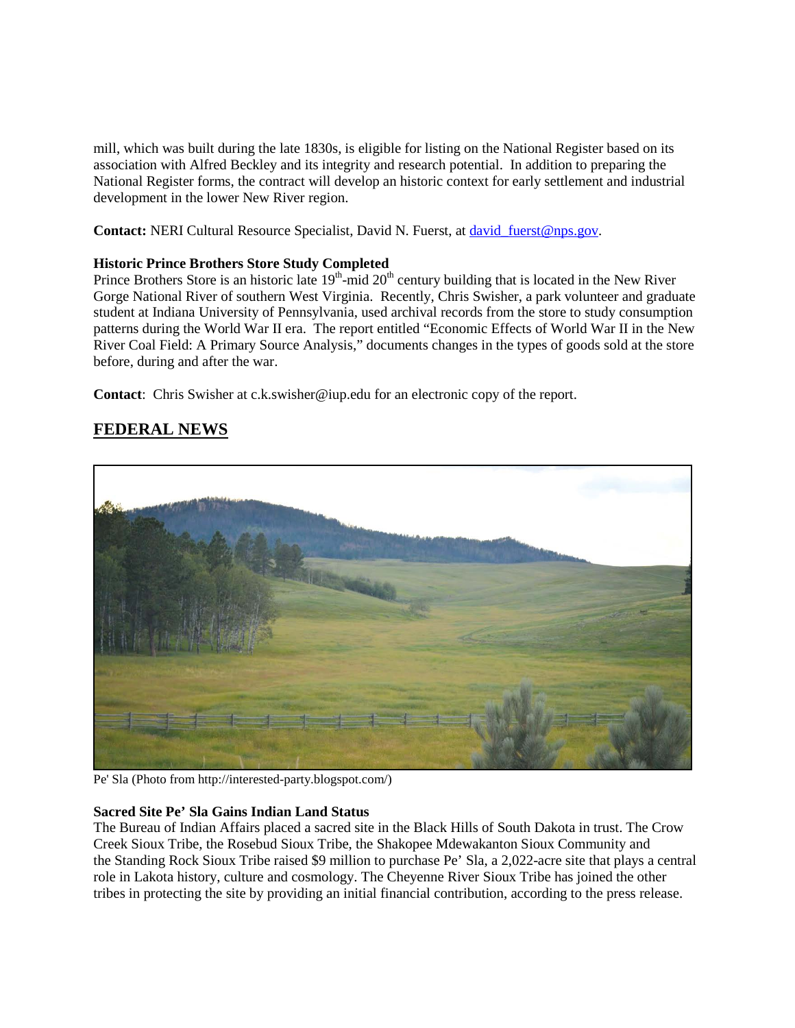mill, which was built during the late 1830s, is eligible for listing on the National Register based on its association with Alfred Beckley and its integrity and research potential. In addition to preparing the National Register forms, the contract will develop an historic context for early settlement and industrial development in the lower New River region.

**Contact:** NERI Cultural Resource Specialist, David N. Fuerst, at [david\\_fuerst@nps.gov.](mailto:david_fuerst@nps.gov)

## **Historic Prince Brothers Store Study Completed**

Prince Brothers Store is an historic late  $19<sup>th</sup>$ -mid  $20<sup>th</sup>$  century building that is located in the New River Gorge National River of southern West Virginia. Recently, Chris Swisher, a park volunteer and graduate student at Indiana University of Pennsylvania, used archival records from the store to study consumption patterns during the World War II era. The report entitled "Economic Effects of World War II in the New River Coal Field: A Primary Source Analysis," documents changes in the types of goods sold at the store before, during and after the war.

**Contact**: Chris Swisher at c.k.swisher@iup.edu for an electronic copy of the report.

# **FEDERAL NEWS**



Pe' Sla (Photo from http://interested-party.blogspot.com/)

### **Sacred Site Pe' Sla Gains Indian Land Status**

The Bureau of Indian Affairs placed a sacred site in the Black Hills of South Dakota in trust. The Crow Creek Sioux Tribe, the Rosebud Sioux Tribe, the Shakopee Mdewakanton Sioux Community and the Standing Rock Sioux Tribe raised \$9 million to purchase Pe' Sla, a 2,022-acre site that plays a central role in Lakota history, culture and cosmology. The Cheyenne River Sioux Tribe has joined the other tribes in protecting the site by providing an initial financial contribution, according to the press release.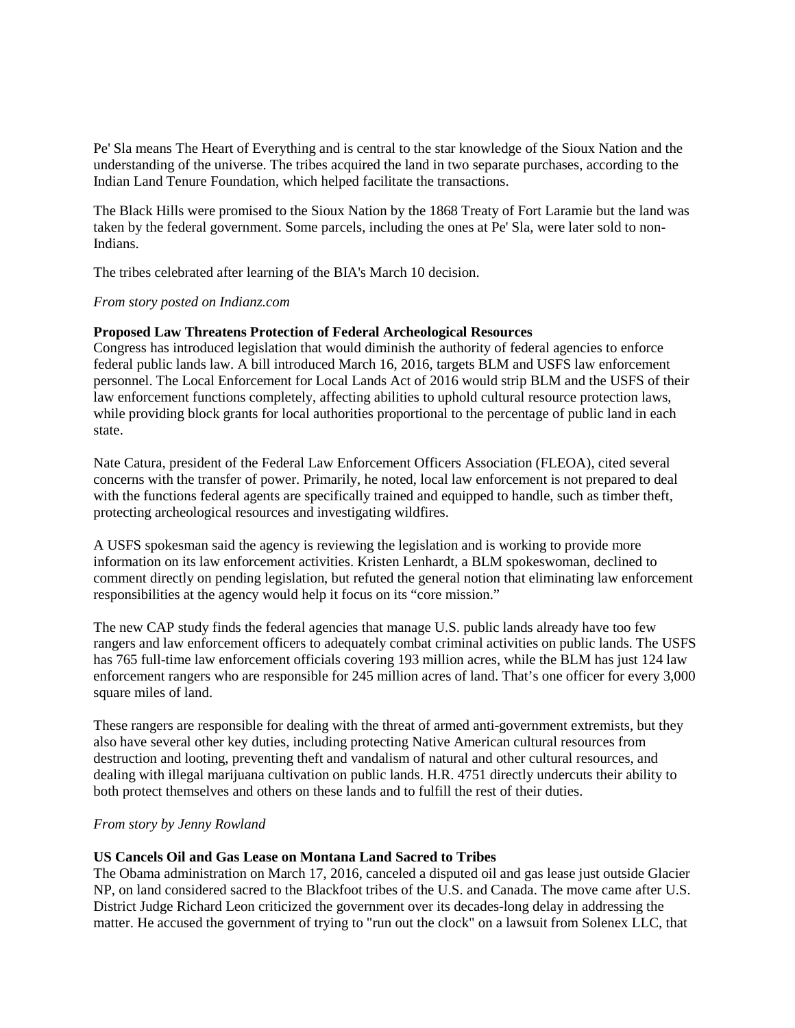Pe' Sla means The Heart of Everything and is central to the star knowledge of the Sioux Nation and the understanding of the universe. The tribes acquired the land in two separate purchases, according to the Indian Land Tenure Foundation, which helped facilitate the transactions.

The Black Hills were promised to the Sioux Nation by the 1868 Treaty of Fort Laramie but the land was taken by the federal government. Some parcels, including the ones at Pe' Sla, were later sold to non-Indians.

The tribes celebrated after learning of the BIA's March 10 decision.

## *From story posted on Indianz.com*

## **Proposed Law Threatens Protection of Federal Archeological Resources**

Congress has introduced legislation that would diminish the authority of federal agencies to enforce federal public lands law. A bill introduced March 16, 2016, targets BLM and USFS law enforcement personnel. The Local Enforcement for Local Lands Act of 2016 would strip BLM and the USFS of their law enforcement functions completely, affecting abilities to uphold cultural resource protection laws, while providing block grants for local authorities proportional to the percentage of public land in each state.

Nate Catura, president of the Federal Law Enforcement Officers Association (FLEOA), cited several concerns with the transfer of power. Primarily, he noted, local law enforcement is not prepared to deal with the functions federal agents are specifically trained and equipped to handle, such as timber theft, protecting archeological resources and investigating wildfires.

A USFS spokesman said the agency is reviewing the legislation and is working to provide more information on its law enforcement activities. Kristen Lenhardt, a BLM spokeswoman, declined to comment directly on pending legislation, but refuted the general notion that eliminating law enforcement responsibilities at the agency would help it focus on its "core mission."

The new CAP study finds the federal agencies that manage U.S. public lands already have too few rangers and law enforcement officers to adequately combat criminal activities on public lands. The USFS has 765 full-time law enforcement officials covering 193 million acres, while the BLM has just 124 law enforcement rangers who are responsible for 245 million acres of land. That's one officer for every 3,000 square miles of land.

These rangers are responsible for dealing with the threat of armed anti-government extremists, but they also have several other key duties, including protecting Native American cultural resources from destruction and looting, preventing theft and vandalism of natural and other cultural resources, and dealing with illegal marijuana cultivation on public lands. H.R. 4751 directly undercuts their ability to both protect themselves and others on these lands and to fulfill the rest of their duties.

### *From story by Jenny Rowland*

### **US Cancels Oil and Gas Lease on Montana Land Sacred to Tribes**

The Obama administration on March 17, 2016, canceled a disputed oil and gas lease just outside Glacier NP, on land considered sacred to the Blackfoot tribes of the U.S. and Canada. The move came after U.S. District Judge Richard Leon criticized the government over its decades-long delay in addressing the matter. He accused the government of trying to "run out the clock" on a lawsuit from Solenex LLC, that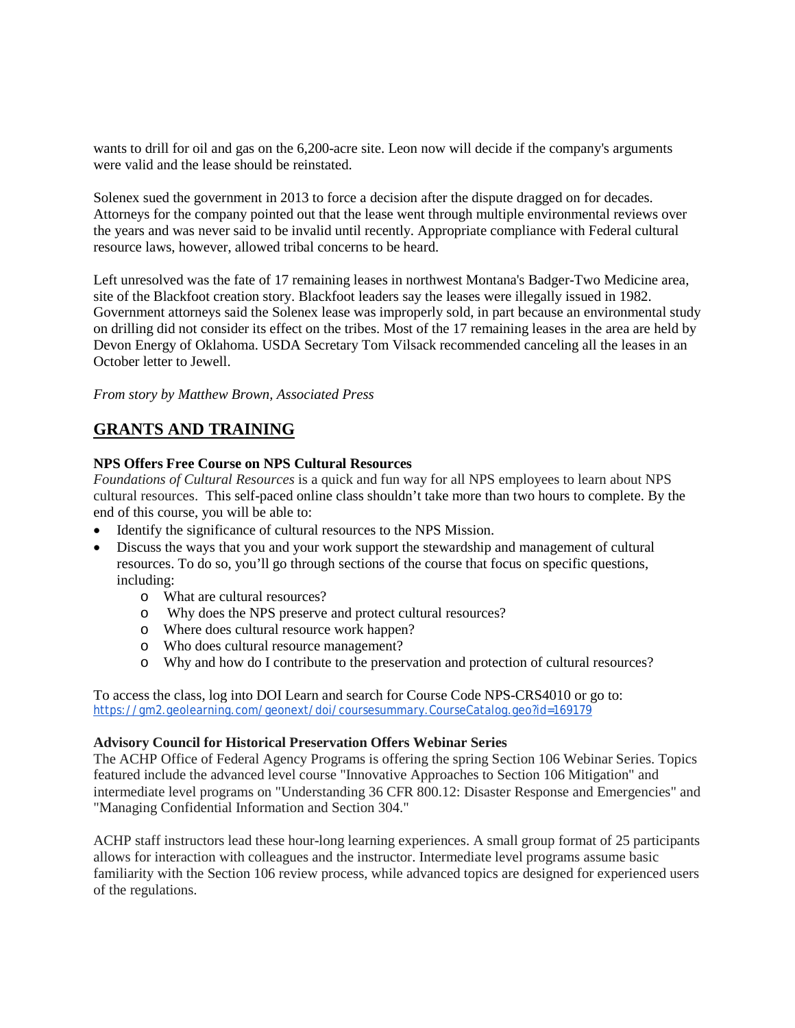wants to drill for oil and gas on the 6,200-acre site. Leon now will decide if the company's arguments were valid and the lease should be reinstated.

Solenex sued the government in 2013 to force a decision after the dispute dragged on for decades. Attorneys for the company pointed out that the lease went through multiple environmental reviews over the years and was never said to be invalid until recently. Appropriate compliance with Federal cultural resource laws, however, allowed tribal concerns to be heard.

Left unresolved was the fate of 17 remaining leases in northwest Montana's Badger-Two Medicine area, site of the Blackfoot creation story. Blackfoot leaders say the leases were illegally issued in 1982. Government attorneys said the Solenex lease was improperly sold, in part because an environmental study on drilling did not consider its effect on the tribes. Most of the 17 remaining leases in the area are held by Devon Energy of Oklahoma. USDA Secretary Tom Vilsack recommended canceling all the leases in an October letter to Jewell.

*From story by Matthew Brown, Associated Press*

# **GRANTS AND TRAINING**

## **NPS Offers Free Course on NPS Cultural Resources**

*Foundations of Cultural Resources* is a quick and fun way for all NPS employees to learn about NPS cultural resources. This self-paced online class shouldn't take more than two hours to complete. By the end of this course, you will be able to:

- Identify the significance of cultural resources to the NPS Mission.
- Discuss the ways that you and your work support the stewardship and management of cultural resources. To do so, you'll go through sections of the course that focus on specific questions, including:
	- o What are cultural resources?
	- o Why does the NPS preserve and protect cultural resources?
	- o Where does cultural resource work happen?
	- o Who does cultural resource management?
	- o Why and how do I contribute to the preservation and protection of cultural resources?

To access the class, log into DOI Learn and search for Course Code NPS-CRS4010 or go to: <https://gm2.geolearning.com/geonext/doi/coursesummary.CourseCatalog.geo?id=169179>

### **Advisory Council for Historical Preservation Offers Webinar Series**

The ACHP Office of Federal Agency Programs is offering the spring Section 106 Webinar Series. Topics featured include the advanced level course "Innovative Approaches to Section 106 Mitigation" and intermediate level programs on "Understanding 36 CFR 800.12: Disaster Response and Emergencies" and "Managing Confidential Information and Section 304."

ACHP staff instructors lead these hour-long learning experiences. A small group format of 25 participants allows for interaction with colleagues and the instructor. Intermediate level programs assume basic familiarity with the Section 106 review process, while advanced topics are designed for experienced users of the regulations.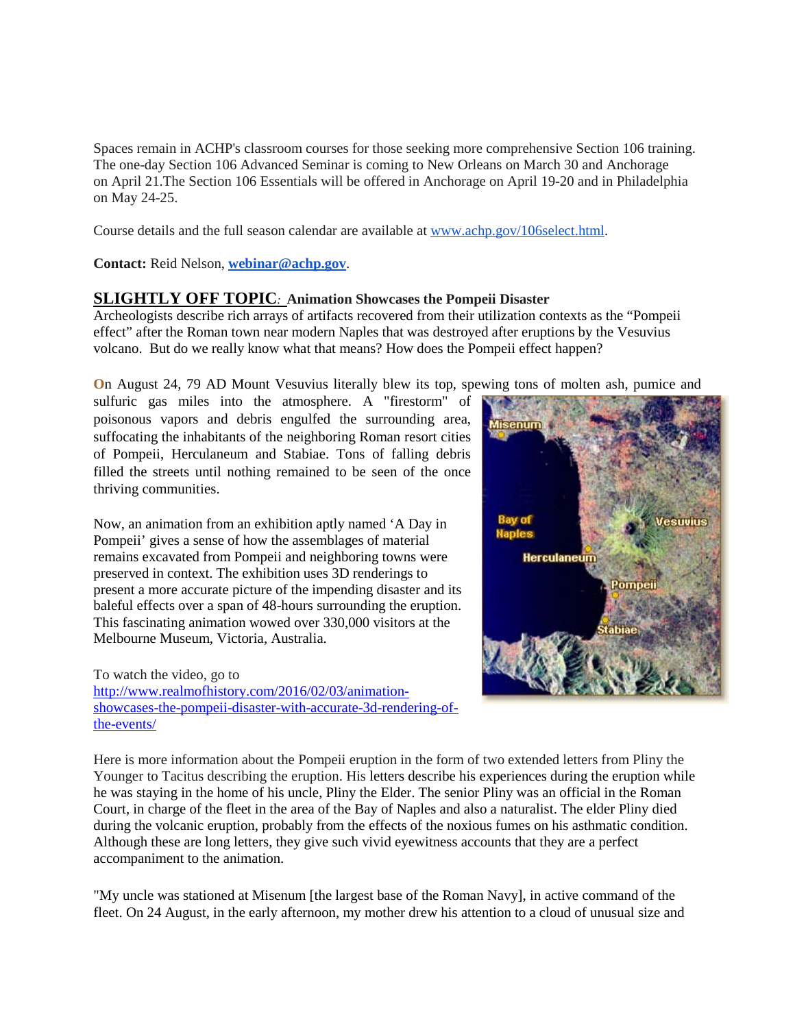Spaces remain in ACHP's classroom courses for those seeking more comprehensive Section 106 training. The one-day Section 106 Advanced Seminar is coming to New Orleans on March 30 and Anchorage on April 21.The Section 106 Essentials will be offered in Anchorage on April 19-20 and in Philadelphia on May 24-25.

Course details and the full season calendar are available at [www.achp.gov/106select.html.](http://www.achp.gov/106select.html)

**Contact:** Reid Nelson, **[webinar@achp.gov](mailto:webinar@achp.gov)**.

## **SLIGHTLY OFF TOPIC***:* **Animation Showcases the Pompeii Disaster**

Archeologists describe rich arrays of artifacts recovered from their utilization contexts as the "Pompeii effect" after the Roman town near modern Naples that was destroyed after eruptions by the Vesuvius volcano. But do we really know what that means? How does the Pompeii effect happen?

**O**n August 24, 79 AD Mount Vesuvius literally blew its top, spewing tons of molten ash, pumice and

sulfuric gas miles into the atmosphere. A "firestorm" of poisonous vapors and debris engulfed the surrounding area, suffocating the inhabitants of the neighboring Roman resort cities of Pompeii, Herculaneum and Stabiae. Tons of falling debris filled the streets until nothing remained to be seen of the once thriving communities.

Now, an animation from an exhibition aptly named 'A Day in Pompeii' gives a sense of how the assemblages of material remains excavated from Pompeii and neighboring towns were preserved in context. The exhibition uses 3D renderings to present a more accurate picture of the impending disaster and its baleful effects over a span of 48-hours surrounding the eruption. This fascinating animation wowed over 330,000 visitors at the Melbourne Museum, Victoria, Australia.

To watch the video, go to [http://www.realmofhistory.com/2016/02/03/animation](http://www.realmofhistory.com/2016/02/03/animation-showcases-the-pompeii-disaster-with-accurate-3d-rendering-of-the-events/)[showcases-the-pompeii-disaster-with-accurate-3d-rendering-of](http://www.realmofhistory.com/2016/02/03/animation-showcases-the-pompeii-disaster-with-accurate-3d-rendering-of-the-events/)[the-events/](http://www.realmofhistory.com/2016/02/03/animation-showcases-the-pompeii-disaster-with-accurate-3d-rendering-of-the-events/)



Here is more information about the Pompeii eruption in the form of two extended letters from Pliny the Younger to Tacitus describing the eruption. His letters describe his experiences during the eruption while he was staying in the home of his uncle, Pliny the Elder. The senior Pliny was an official in the Roman Court, in charge of the fleet in the area of the Bay of Naples and also a naturalist. The elder Pliny died during the volcanic eruption, probably from the effects of the noxious fumes on his asthmatic condition. Although these are long letters, they give such vivid eyewitness accounts that they are a perfect accompaniment to the animation.

"My uncle was stationed at Misenum [the largest base of the Roman Navy], in active command of the fleet. On 24 August, in the early afternoon, my mother drew his attention to a cloud of unusual size and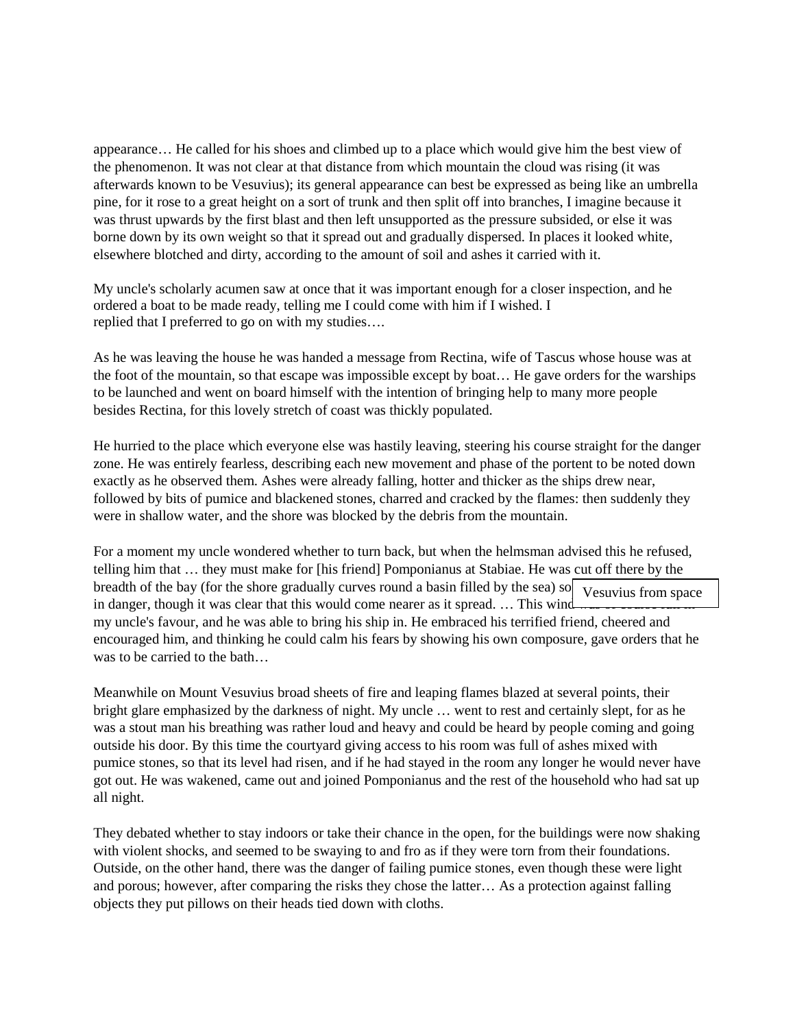appearance… He called for his shoes and climbed up to a place which would give him the best view of the phenomenon. It was not clear at that distance from which mountain the cloud was rising (it was afterwards known to be Vesuvius); its general appearance can best be expressed as being like an umbrella pine, for it rose to a great height on a sort of trunk and then split off into branches, I imagine because it was thrust upwards by the first blast and then left unsupported as the pressure subsided, or else it was borne down by its own weight so that it spread out and gradually dispersed. In places it looked white, elsewhere blotched and dirty, according to the amount of soil and ashes it carried with it.

My uncle's scholarly acumen saw at once that it was important enough for a closer inspection, and he ordered a boat to be made ready, telling me I could come with him if I wished. I replied that I preferred to go on with my studies….

As he was leaving the house he was handed a message from Rectina, wife of Tascus whose house was at the foot of the mountain, so that escape was impossible except by boat… He gave orders for the warships to be launched and went on board himself with the intention of bringing help to many more people besides Rectina, for this lovely stretch of coast was thickly populated.

He hurried to the place which everyone else was hastily leaving, steering his course straight for the danger zone. He was entirely fearless, describing each new movement and phase of the portent to be noted down exactly as he observed them. Ashes were already falling, hotter and thicker as the ships drew near, followed by bits of pumice and blackened stones, charred and cracked by the flames: then suddenly they were in shallow water, and the shore was blocked by the debris from the mountain.

For a moment my uncle wondered whether to turn back, but when the helmsman advised this he refused, telling him that … they must make for [his friend] Pomponianus at Stabiae. He was cut off there by the breadth of the bay (for the shore gradually curves round a basin filled by the sea) so that he was not as yet Vesuvius from spacein danger, though it was clear that this would come nearer as it spread.  $\dots$  This wind my uncle's favour, and he was able to bring his ship in. He embraced his terrified friend, cheered and encouraged him, and thinking he could calm his fears by showing his own composure, gave orders that he was to be carried to the bath…

Meanwhile on Mount Vesuvius broad sheets of fire and leaping flames blazed at several points, their bright glare emphasized by the darkness of night. My uncle … went to rest and certainly slept, for as he was a stout man his breathing was rather loud and heavy and could be heard by people coming and going outside his door. By this time the courtyard giving access to his room was full of ashes mixed with pumice stones, so that its level had risen, and if he had stayed in the room any longer he would never have got out. He was wakened, came out and joined Pomponianus and the rest of the household who had sat up all night.

They debated whether to stay indoors or take their chance in the open, for the buildings were now shaking with violent shocks, and seemed to be swaying to and fro as if they were torn from their foundations. Outside, on the other hand, there was the danger of failing pumice stones, even though these were light and porous; however, after comparing the risks they chose the latter… As a protection against falling objects they put pillows on their heads tied down with cloths.